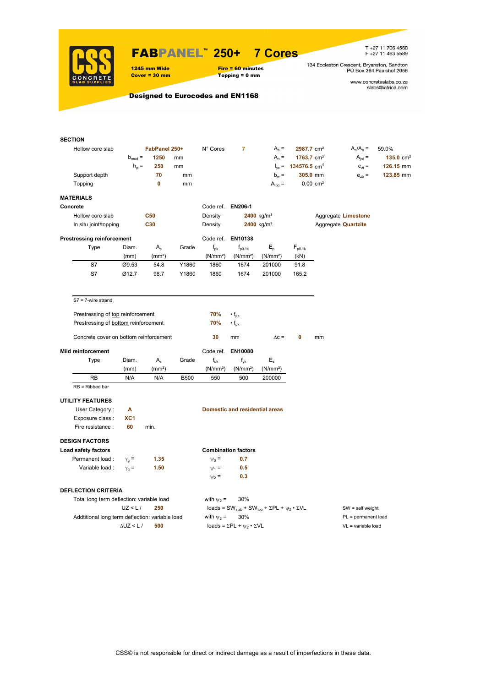

### FABPANEL**™ 250+ 7 Cores**

1245 mm Wide Fire = 60 minutes<br>
Cover = 30 mm Topping = 0 mm

 $Topping = 0$  mm

T +27 11 706 4560<br>F +27 11 463 5589

134 Eccleston Crescent, Bryanston, Sandton<br>PO Box 364 Paulshof 2056

www.concreteslabs.co.za<br>slabs@iafrica.com

### Designed to Eurocodes and EN1168

| Hollow core slab<br>FabPanel 250+<br>N° Cores<br>7<br>$A_h =$<br>2987.7 cm <sup>2</sup><br>$A_n/A_b =$<br>59.0%<br>$b_{mod} =$<br>1250<br>$A_n =$<br>$1763.7$ cm <sup>2</sup><br>$A_{int} =$<br>$135.0 \text{ cm}^2$<br>mm<br>$h_{\rm p}$ =<br>250<br>$I_{\text{ve}} = 134576.5 \text{ cm}^4$<br>$e_{7}$ =<br>126.15 mm<br>mm<br>70<br>$b_w =$<br>305.0 mm<br>Support depth<br>$e_{zb}$ =<br>123.85 mm<br>mm<br>$\mathbf 0$<br>$A_{top} =$<br>$0.00$ cm <sup>2</sup><br>Topping<br>mm<br><b>MATERIALS</b><br>Code ref.<br>EN206-1<br>Concrete<br>Hollow core slab<br><b>C50</b><br>Density<br>$2400$ kg/m <sup>3</sup><br>Aggregate Limestone<br>C30<br>2400 kg/m <sup>3</sup><br>In situ joint/topping<br>Density<br>Aggregate <b>Quartzite</b><br><b>Prestressing reinforcement</b><br>Code ref. EN10138<br>Type<br>Grade<br>$E_{\rm p}$<br>$F_{p0.1k}$<br>Diam.<br>$A_{p}$<br>$f_{\rm pk}$<br>$f_{p0.1k}$<br>(N/mm <sup>2</sup> )<br>(N/mm <sup>2</sup> )<br>(kN)<br>(mm)<br>(mm <sup>2</sup> )<br>(N/mm <sup>2</sup> )<br>S7<br>Ø9.53<br>54.8<br>Y1860<br>1860<br>1674<br>201000<br>91.8<br>S7<br>Ø12.7<br>98.7<br>1860<br>1674<br>165.2<br>Y1860<br>201000<br>$S7 = 7$ -wire strand<br>70%<br>Prestressing of top reinforcement<br>$\cdot$ f <sub>pk</sub><br>70%<br>$\cdot f_{\rm pk}$<br>Prestressing of bottom reinforcement<br>Concrete cover on bottom reinforcement<br>30<br>mm<br>$\Delta c =$<br>0<br>mm<br><b>Mild reinforcement</b><br>Code ref.<br><b>EN10080</b><br>$E_{s}$<br>Diam.<br>$A_{s}$<br>Grade<br>$f_{uk}$<br>Type<br>$f_{\mathsf{vk}}$<br>(mm)<br>(mm <sup>2</sup> )<br>(N/mm <sup>2</sup> )<br>(N/mm <sup>2</sup> )<br>(N/mm <sup>2</sup> )<br>N/A<br><b>RB</b><br>N/A<br><b>B500</b><br>550<br>500<br>200000<br>$RB = Ribbed bar$<br><b>UTILITY FEATURES</b><br>User Category:<br>А<br><b>Domestic and residential areas</b><br>Exposure class :<br>XC <sub>1</sub><br>Fire resistance :<br>60<br>min.<br><b>DESIGN FACTORS</b><br>Load safety factors<br><b>Combination factors</b><br>Permanent load :<br>1.35<br>0.7<br>$\gamma_{\alpha} =$<br>$\Psi_0 =$<br>0.5<br>Variable load :<br>1.50<br>$\Psi_1 =$<br>$\gamma_{q} =$<br>0.3<br>$\psi_2 =$<br><b>DEFLECTION CRITERIA</b><br>Total long term deflection: variable load<br>with $\psi_2$ =<br>30%<br>UZ < L/<br>250<br>loads = SW <sub>slab</sub> + SW <sub>top</sub> + $\Sigma$ PL + $\psi_2 \cdot \Sigma$ VL<br>$SW = self weight$<br>Addtitional long term deflection: variable load<br>with $\psi_2$ =<br>30%<br>PL = permanent load<br>loads = $\Sigma$ PL + $\psi_2 \cdot \Sigma$ VL | <b>SECTION</b> |                   |     |  |  |  |                    |  |
|---------------------------------------------------------------------------------------------------------------------------------------------------------------------------------------------------------------------------------------------------------------------------------------------------------------------------------------------------------------------------------------------------------------------------------------------------------------------------------------------------------------------------------------------------------------------------------------------------------------------------------------------------------------------------------------------------------------------------------------------------------------------------------------------------------------------------------------------------------------------------------------------------------------------------------------------------------------------------------------------------------------------------------------------------------------------------------------------------------------------------------------------------------------------------------------------------------------------------------------------------------------------------------------------------------------------------------------------------------------------------------------------------------------------------------------------------------------------------------------------------------------------------------------------------------------------------------------------------------------------------------------------------------------------------------------------------------------------------------------------------------------------------------------------------------------------------------------------------------------------------------------------------------------------------------------------------------------------------------------------------------------------------------------------------------------------------------------------------------------------------------------------------------------------------------------------------------------------------------------------------------------------------------------------------------------------------------------------------------------------------------------------------------------------------------------------------------------------------------------------------------------------------------------------------------------------------------|----------------|-------------------|-----|--|--|--|--------------------|--|
|                                                                                                                                                                                                                                                                                                                                                                                                                                                                                                                                                                                                                                                                                                                                                                                                                                                                                                                                                                                                                                                                                                                                                                                                                                                                                                                                                                                                                                                                                                                                                                                                                                                                                                                                                                                                                                                                                                                                                                                                                                                                                                                                                                                                                                                                                                                                                                                                                                                                                                                                                                                 |                |                   |     |  |  |  |                    |  |
|                                                                                                                                                                                                                                                                                                                                                                                                                                                                                                                                                                                                                                                                                                                                                                                                                                                                                                                                                                                                                                                                                                                                                                                                                                                                                                                                                                                                                                                                                                                                                                                                                                                                                                                                                                                                                                                                                                                                                                                                                                                                                                                                                                                                                                                                                                                                                                                                                                                                                                                                                                                 |                |                   |     |  |  |  |                    |  |
|                                                                                                                                                                                                                                                                                                                                                                                                                                                                                                                                                                                                                                                                                                                                                                                                                                                                                                                                                                                                                                                                                                                                                                                                                                                                                                                                                                                                                                                                                                                                                                                                                                                                                                                                                                                                                                                                                                                                                                                                                                                                                                                                                                                                                                                                                                                                                                                                                                                                                                                                                                                 |                |                   |     |  |  |  |                    |  |
|                                                                                                                                                                                                                                                                                                                                                                                                                                                                                                                                                                                                                                                                                                                                                                                                                                                                                                                                                                                                                                                                                                                                                                                                                                                                                                                                                                                                                                                                                                                                                                                                                                                                                                                                                                                                                                                                                                                                                                                                                                                                                                                                                                                                                                                                                                                                                                                                                                                                                                                                                                                 |                |                   |     |  |  |  |                    |  |
|                                                                                                                                                                                                                                                                                                                                                                                                                                                                                                                                                                                                                                                                                                                                                                                                                                                                                                                                                                                                                                                                                                                                                                                                                                                                                                                                                                                                                                                                                                                                                                                                                                                                                                                                                                                                                                                                                                                                                                                                                                                                                                                                                                                                                                                                                                                                                                                                                                                                                                                                                                                 |                |                   |     |  |  |  |                    |  |
|                                                                                                                                                                                                                                                                                                                                                                                                                                                                                                                                                                                                                                                                                                                                                                                                                                                                                                                                                                                                                                                                                                                                                                                                                                                                                                                                                                                                                                                                                                                                                                                                                                                                                                                                                                                                                                                                                                                                                                                                                                                                                                                                                                                                                                                                                                                                                                                                                                                                                                                                                                                 |                |                   |     |  |  |  |                    |  |
|                                                                                                                                                                                                                                                                                                                                                                                                                                                                                                                                                                                                                                                                                                                                                                                                                                                                                                                                                                                                                                                                                                                                                                                                                                                                                                                                                                                                                                                                                                                                                                                                                                                                                                                                                                                                                                                                                                                                                                                                                                                                                                                                                                                                                                                                                                                                                                                                                                                                                                                                                                                 |                |                   |     |  |  |  |                    |  |
|                                                                                                                                                                                                                                                                                                                                                                                                                                                                                                                                                                                                                                                                                                                                                                                                                                                                                                                                                                                                                                                                                                                                                                                                                                                                                                                                                                                                                                                                                                                                                                                                                                                                                                                                                                                                                                                                                                                                                                                                                                                                                                                                                                                                                                                                                                                                                                                                                                                                                                                                                                                 |                |                   |     |  |  |  |                    |  |
|                                                                                                                                                                                                                                                                                                                                                                                                                                                                                                                                                                                                                                                                                                                                                                                                                                                                                                                                                                                                                                                                                                                                                                                                                                                                                                                                                                                                                                                                                                                                                                                                                                                                                                                                                                                                                                                                                                                                                                                                                                                                                                                                                                                                                                                                                                                                                                                                                                                                                                                                                                                 |                |                   |     |  |  |  |                    |  |
|                                                                                                                                                                                                                                                                                                                                                                                                                                                                                                                                                                                                                                                                                                                                                                                                                                                                                                                                                                                                                                                                                                                                                                                                                                                                                                                                                                                                                                                                                                                                                                                                                                                                                                                                                                                                                                                                                                                                                                                                                                                                                                                                                                                                                                                                                                                                                                                                                                                                                                                                                                                 |                |                   |     |  |  |  |                    |  |
|                                                                                                                                                                                                                                                                                                                                                                                                                                                                                                                                                                                                                                                                                                                                                                                                                                                                                                                                                                                                                                                                                                                                                                                                                                                                                                                                                                                                                                                                                                                                                                                                                                                                                                                                                                                                                                                                                                                                                                                                                                                                                                                                                                                                                                                                                                                                                                                                                                                                                                                                                                                 |                |                   |     |  |  |  |                    |  |
|                                                                                                                                                                                                                                                                                                                                                                                                                                                                                                                                                                                                                                                                                                                                                                                                                                                                                                                                                                                                                                                                                                                                                                                                                                                                                                                                                                                                                                                                                                                                                                                                                                                                                                                                                                                                                                                                                                                                                                                                                                                                                                                                                                                                                                                                                                                                                                                                                                                                                                                                                                                 |                |                   |     |  |  |  |                    |  |
|                                                                                                                                                                                                                                                                                                                                                                                                                                                                                                                                                                                                                                                                                                                                                                                                                                                                                                                                                                                                                                                                                                                                                                                                                                                                                                                                                                                                                                                                                                                                                                                                                                                                                                                                                                                                                                                                                                                                                                                                                                                                                                                                                                                                                                                                                                                                                                                                                                                                                                                                                                                 |                |                   |     |  |  |  |                    |  |
|                                                                                                                                                                                                                                                                                                                                                                                                                                                                                                                                                                                                                                                                                                                                                                                                                                                                                                                                                                                                                                                                                                                                                                                                                                                                                                                                                                                                                                                                                                                                                                                                                                                                                                                                                                                                                                                                                                                                                                                                                                                                                                                                                                                                                                                                                                                                                                                                                                                                                                                                                                                 |                |                   |     |  |  |  |                    |  |
|                                                                                                                                                                                                                                                                                                                                                                                                                                                                                                                                                                                                                                                                                                                                                                                                                                                                                                                                                                                                                                                                                                                                                                                                                                                                                                                                                                                                                                                                                                                                                                                                                                                                                                                                                                                                                                                                                                                                                                                                                                                                                                                                                                                                                                                                                                                                                                                                                                                                                                                                                                                 |                |                   |     |  |  |  |                    |  |
|                                                                                                                                                                                                                                                                                                                                                                                                                                                                                                                                                                                                                                                                                                                                                                                                                                                                                                                                                                                                                                                                                                                                                                                                                                                                                                                                                                                                                                                                                                                                                                                                                                                                                                                                                                                                                                                                                                                                                                                                                                                                                                                                                                                                                                                                                                                                                                                                                                                                                                                                                                                 |                |                   |     |  |  |  |                    |  |
|                                                                                                                                                                                                                                                                                                                                                                                                                                                                                                                                                                                                                                                                                                                                                                                                                                                                                                                                                                                                                                                                                                                                                                                                                                                                                                                                                                                                                                                                                                                                                                                                                                                                                                                                                                                                                                                                                                                                                                                                                                                                                                                                                                                                                                                                                                                                                                                                                                                                                                                                                                                 |                |                   |     |  |  |  |                    |  |
|                                                                                                                                                                                                                                                                                                                                                                                                                                                                                                                                                                                                                                                                                                                                                                                                                                                                                                                                                                                                                                                                                                                                                                                                                                                                                                                                                                                                                                                                                                                                                                                                                                                                                                                                                                                                                                                                                                                                                                                                                                                                                                                                                                                                                                                                                                                                                                                                                                                                                                                                                                                 |                |                   |     |  |  |  |                    |  |
|                                                                                                                                                                                                                                                                                                                                                                                                                                                                                                                                                                                                                                                                                                                                                                                                                                                                                                                                                                                                                                                                                                                                                                                                                                                                                                                                                                                                                                                                                                                                                                                                                                                                                                                                                                                                                                                                                                                                                                                                                                                                                                                                                                                                                                                                                                                                                                                                                                                                                                                                                                                 |                |                   |     |  |  |  |                    |  |
|                                                                                                                                                                                                                                                                                                                                                                                                                                                                                                                                                                                                                                                                                                                                                                                                                                                                                                                                                                                                                                                                                                                                                                                                                                                                                                                                                                                                                                                                                                                                                                                                                                                                                                                                                                                                                                                                                                                                                                                                                                                                                                                                                                                                                                                                                                                                                                                                                                                                                                                                                                                 |                |                   |     |  |  |  |                    |  |
|                                                                                                                                                                                                                                                                                                                                                                                                                                                                                                                                                                                                                                                                                                                                                                                                                                                                                                                                                                                                                                                                                                                                                                                                                                                                                                                                                                                                                                                                                                                                                                                                                                                                                                                                                                                                                                                                                                                                                                                                                                                                                                                                                                                                                                                                                                                                                                                                                                                                                                                                                                                 |                |                   |     |  |  |  |                    |  |
|                                                                                                                                                                                                                                                                                                                                                                                                                                                                                                                                                                                                                                                                                                                                                                                                                                                                                                                                                                                                                                                                                                                                                                                                                                                                                                                                                                                                                                                                                                                                                                                                                                                                                                                                                                                                                                                                                                                                                                                                                                                                                                                                                                                                                                                                                                                                                                                                                                                                                                                                                                                 |                |                   |     |  |  |  |                    |  |
|                                                                                                                                                                                                                                                                                                                                                                                                                                                                                                                                                                                                                                                                                                                                                                                                                                                                                                                                                                                                                                                                                                                                                                                                                                                                                                                                                                                                                                                                                                                                                                                                                                                                                                                                                                                                                                                                                                                                                                                                                                                                                                                                                                                                                                                                                                                                                                                                                                                                                                                                                                                 |                |                   |     |  |  |  |                    |  |
|                                                                                                                                                                                                                                                                                                                                                                                                                                                                                                                                                                                                                                                                                                                                                                                                                                                                                                                                                                                                                                                                                                                                                                                                                                                                                                                                                                                                                                                                                                                                                                                                                                                                                                                                                                                                                                                                                                                                                                                                                                                                                                                                                                                                                                                                                                                                                                                                                                                                                                                                                                                 |                |                   |     |  |  |  |                    |  |
|                                                                                                                                                                                                                                                                                                                                                                                                                                                                                                                                                                                                                                                                                                                                                                                                                                                                                                                                                                                                                                                                                                                                                                                                                                                                                                                                                                                                                                                                                                                                                                                                                                                                                                                                                                                                                                                                                                                                                                                                                                                                                                                                                                                                                                                                                                                                                                                                                                                                                                                                                                                 |                |                   |     |  |  |  |                    |  |
|                                                                                                                                                                                                                                                                                                                                                                                                                                                                                                                                                                                                                                                                                                                                                                                                                                                                                                                                                                                                                                                                                                                                                                                                                                                                                                                                                                                                                                                                                                                                                                                                                                                                                                                                                                                                                                                                                                                                                                                                                                                                                                                                                                                                                                                                                                                                                                                                                                                                                                                                                                                 |                |                   |     |  |  |  |                    |  |
|                                                                                                                                                                                                                                                                                                                                                                                                                                                                                                                                                                                                                                                                                                                                                                                                                                                                                                                                                                                                                                                                                                                                                                                                                                                                                                                                                                                                                                                                                                                                                                                                                                                                                                                                                                                                                                                                                                                                                                                                                                                                                                                                                                                                                                                                                                                                                                                                                                                                                                                                                                                 |                |                   |     |  |  |  |                    |  |
|                                                                                                                                                                                                                                                                                                                                                                                                                                                                                                                                                                                                                                                                                                                                                                                                                                                                                                                                                                                                                                                                                                                                                                                                                                                                                                                                                                                                                                                                                                                                                                                                                                                                                                                                                                                                                                                                                                                                                                                                                                                                                                                                                                                                                                                                                                                                                                                                                                                                                                                                                                                 |                |                   |     |  |  |  |                    |  |
|                                                                                                                                                                                                                                                                                                                                                                                                                                                                                                                                                                                                                                                                                                                                                                                                                                                                                                                                                                                                                                                                                                                                                                                                                                                                                                                                                                                                                                                                                                                                                                                                                                                                                                                                                                                                                                                                                                                                                                                                                                                                                                                                                                                                                                                                                                                                                                                                                                                                                                                                                                                 |                |                   |     |  |  |  |                    |  |
|                                                                                                                                                                                                                                                                                                                                                                                                                                                                                                                                                                                                                                                                                                                                                                                                                                                                                                                                                                                                                                                                                                                                                                                                                                                                                                                                                                                                                                                                                                                                                                                                                                                                                                                                                                                                                                                                                                                                                                                                                                                                                                                                                                                                                                                                                                                                                                                                                                                                                                                                                                                 |                |                   |     |  |  |  |                    |  |
|                                                                                                                                                                                                                                                                                                                                                                                                                                                                                                                                                                                                                                                                                                                                                                                                                                                                                                                                                                                                                                                                                                                                                                                                                                                                                                                                                                                                                                                                                                                                                                                                                                                                                                                                                                                                                                                                                                                                                                                                                                                                                                                                                                                                                                                                                                                                                                                                                                                                                                                                                                                 |                |                   |     |  |  |  |                    |  |
|                                                                                                                                                                                                                                                                                                                                                                                                                                                                                                                                                                                                                                                                                                                                                                                                                                                                                                                                                                                                                                                                                                                                                                                                                                                                                                                                                                                                                                                                                                                                                                                                                                                                                                                                                                                                                                                                                                                                                                                                                                                                                                                                                                                                                                                                                                                                                                                                                                                                                                                                                                                 |                |                   |     |  |  |  |                    |  |
|                                                                                                                                                                                                                                                                                                                                                                                                                                                                                                                                                                                                                                                                                                                                                                                                                                                                                                                                                                                                                                                                                                                                                                                                                                                                                                                                                                                                                                                                                                                                                                                                                                                                                                                                                                                                                                                                                                                                                                                                                                                                                                                                                                                                                                                                                                                                                                                                                                                                                                                                                                                 |                |                   |     |  |  |  |                    |  |
|                                                                                                                                                                                                                                                                                                                                                                                                                                                                                                                                                                                                                                                                                                                                                                                                                                                                                                                                                                                                                                                                                                                                                                                                                                                                                                                                                                                                                                                                                                                                                                                                                                                                                                                                                                                                                                                                                                                                                                                                                                                                                                                                                                                                                                                                                                                                                                                                                                                                                                                                                                                 |                |                   |     |  |  |  |                    |  |
|                                                                                                                                                                                                                                                                                                                                                                                                                                                                                                                                                                                                                                                                                                                                                                                                                                                                                                                                                                                                                                                                                                                                                                                                                                                                                                                                                                                                                                                                                                                                                                                                                                                                                                                                                                                                                                                                                                                                                                                                                                                                                                                                                                                                                                                                                                                                                                                                                                                                                                                                                                                 |                |                   |     |  |  |  |                    |  |
|                                                                                                                                                                                                                                                                                                                                                                                                                                                                                                                                                                                                                                                                                                                                                                                                                                                                                                                                                                                                                                                                                                                                                                                                                                                                                                                                                                                                                                                                                                                                                                                                                                                                                                                                                                                                                                                                                                                                                                                                                                                                                                                                                                                                                                                                                                                                                                                                                                                                                                                                                                                 |                |                   |     |  |  |  |                    |  |
|                                                                                                                                                                                                                                                                                                                                                                                                                                                                                                                                                                                                                                                                                                                                                                                                                                                                                                                                                                                                                                                                                                                                                                                                                                                                                                                                                                                                                                                                                                                                                                                                                                                                                                                                                                                                                                                                                                                                                                                                                                                                                                                                                                                                                                                                                                                                                                                                                                                                                                                                                                                 |                |                   |     |  |  |  |                    |  |
|                                                                                                                                                                                                                                                                                                                                                                                                                                                                                                                                                                                                                                                                                                                                                                                                                                                                                                                                                                                                                                                                                                                                                                                                                                                                                                                                                                                                                                                                                                                                                                                                                                                                                                                                                                                                                                                                                                                                                                                                                                                                                                                                                                                                                                                                                                                                                                                                                                                                                                                                                                                 |                | $\Delta$ UZ < L / | 500 |  |  |  | VL = variable load |  |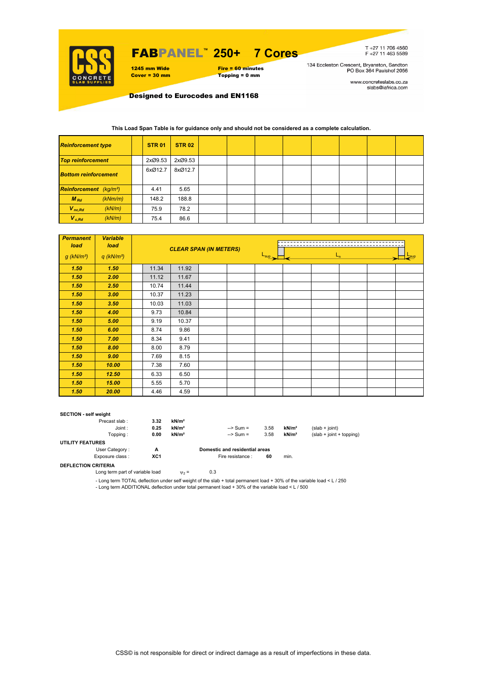

## FABPANEL**™ 250+ 7 Cores**

1245 mm Wide Fire = 60 minutes<br>
Cover = 30 mm Topping = 0 mm  $Topping = 0$  mm

T+27 11 706 4560<br>F+27 11 463 5589

134 Eccleston Crescent, Bryanston, Sandton<br>PO Box 364 Paulshof 2056

www.concreteslabs.co.za<br>slabs@iafrica.com

Designed to Eurocodes and EN1168

#### **This Load Span Table is for guidance only and should not be considered as a complete calculation.**

| <b>Reinforcement type</b>                 |  | <b>STR 01</b> | <b>STR 02</b> |  |  |  |  |
|-------------------------------------------|--|---------------|---------------|--|--|--|--|
| <b>Top reinforcement</b>                  |  | 2xØ9.53       | 2xØ9.53       |  |  |  |  |
| <b>Bottom reinforcement</b>               |  | 6xØ12.7       | 8xØ12.7       |  |  |  |  |
| <b>Reinforcement</b> (kg/m <sup>2</sup> ) |  | 4.41          | 5.65          |  |  |  |  |
| $M_{Rd}$<br>(kNm/m)                       |  | 148.2         | 188.8         |  |  |  |  |
| $V_{nc,Rd}$<br>(kN/m)                     |  | 75.9          | 78.2          |  |  |  |  |
| $V_{c, Rd}$<br>(kN/m)                     |  | 75.4          | 86.6          |  |  |  |  |

| <b>Permanent</b><br>load | <b>Variable</b><br>load  |       | <b>CLEAR SPAN (IN METERS)</b> |  |  |                  |  |         |  |  |  |  |
|--------------------------|--------------------------|-------|-------------------------------|--|--|------------------|--|---------|--|--|--|--|
| $g$ (kN/m <sup>2</sup> ) | $q$ (kN/m <sup>2</sup> ) |       |                               |  |  | $L_{\text{sup}}$ |  | $L_{n}$ |  |  |  |  |
| 1.50                     | 1.50                     | 11.34 | 11.92                         |  |  |                  |  |         |  |  |  |  |
| 1.50                     | 2.00                     | 11.12 | 11.67                         |  |  |                  |  |         |  |  |  |  |
| 1.50                     | 2.50                     | 10.74 | 11.44                         |  |  |                  |  |         |  |  |  |  |
| 1.50                     | 3.00                     | 10.37 | 11.23                         |  |  |                  |  |         |  |  |  |  |
| 1.50                     | 3.50                     | 10.03 | 11.03                         |  |  |                  |  |         |  |  |  |  |
| 1.50                     | 4.00                     | 9.73  | 10.84                         |  |  |                  |  |         |  |  |  |  |
| 1.50                     | 5.00                     | 9.19  | 10.37                         |  |  |                  |  |         |  |  |  |  |
| 1.50                     | 6.00                     | 8.74  | 9.86                          |  |  |                  |  |         |  |  |  |  |
| 1.50                     | 7.00                     | 8.34  | 9.41                          |  |  |                  |  |         |  |  |  |  |
| 1.50                     | 8.00                     | 8.00  | 8.79                          |  |  |                  |  |         |  |  |  |  |
| 1.50                     | 9.00                     | 7.69  | 8.15                          |  |  |                  |  |         |  |  |  |  |
| 1.50                     | 10.00                    | 7.38  | 7.60                          |  |  |                  |  |         |  |  |  |  |
| 1.50                     | 12.50                    | 6.33  | 6.50                          |  |  |                  |  |         |  |  |  |  |
| 1.50                     | 15.00                    | 5.55  | 5.70                          |  |  |                  |  |         |  |  |  |  |
| 1.50                     | 20.00                    | 4.46  | 4.59                          |  |  |                  |  |         |  |  |  |  |

#### **SECTION - self weight**

| Precast slab:           | 3.32 | kN/m <sup>2</sup> |                                |      |                   |                            |
|-------------------------|------|-------------------|--------------------------------|------|-------------------|----------------------------|
| Joint:                  | 0.25 | kN/m <sup>2</sup> | $\Rightarrow$ Sum =            | 3.58 | kN/m <sup>2</sup> | $(slab + joint)$           |
| Topping :               | 0.00 | kN/m <sup>2</sup> | $\Rightarrow$ Sum =            | 3.58 | kN/m <sup>2</sup> | $(slab + joint + topping)$ |
| <b>UTILITY FEATURES</b> |      |                   |                                |      |                   |                            |
| User Category:          | А    |                   | Domestic and residential areas |      |                   |                            |
| Exposure class:         | XC1  |                   | Fire resistance :              | 60   | min.              |                            |
|                         |      |                   |                                |      |                   |                            |

**DEFLECTION CRITERIA**

Long term part of variable load  $v_2 = 0.3$ 

- Long term TOTAL deflection under self weight of the slab + total permanent load + 30% of the variable load < L / 250 - Long term ADDITIONAL deflection under total permanent load + 30% of the variable load < L / 500